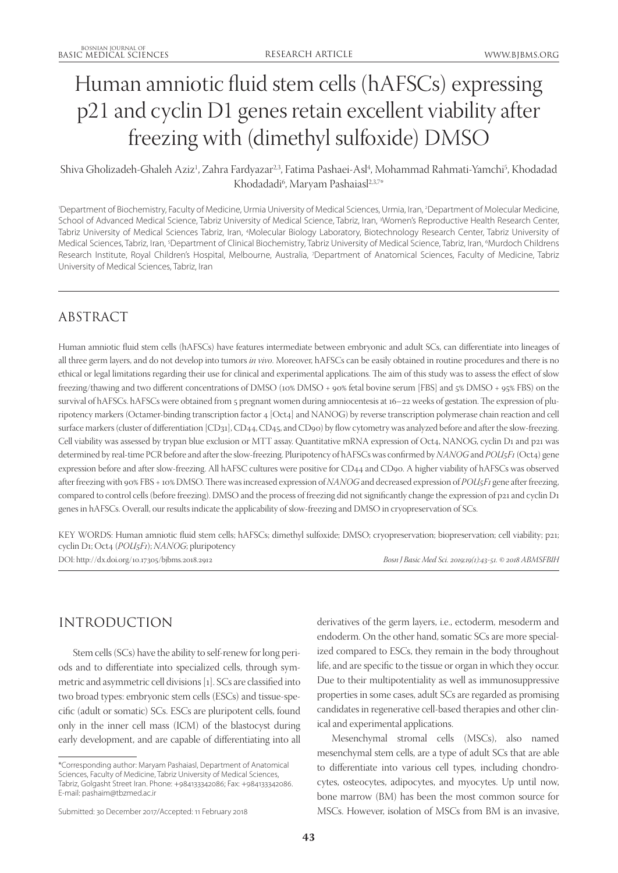# Human amniotic fluid stem cells (hAFSCs) expressing p21 and cyclin D1 genes retain excellent viability after freezing with (dimethyl sulfoxide) DMSO

## Shiva Gholizadeh-Ghaleh Aziz<sup>1</sup>, Zahra Fardyazar<sup>23</sup>, Fatima Pashaei-Asl<sup>4</sup>, Mohammad Rahmati-Yamchi<sup>5</sup>, Khodadad Khodadadi<sup>6</sup>, Maryam Pashaiasl<sup>2,3,7</sup>\*

'Department of Biochemistry, Faculty of Medicine, Urmia University of Medical Sciences, Urmia, Iran, <sup>2</sup>Department of Molecular Medicine, School of Advanced Medical Science, Tabriz University of Medical Science, Tabriz, Iran, <sup>3</sup>Women's Reproductive Health Research Center, Tabriz University of Medical Sciences Tabriz, Iran, 4Molecular Biology Laboratory, Biotechnology Research Center, Tabriz University of Medical Sciences, Tabriz, Iran, <sup>5</sup>Department of Clinical Biochemistry, Tabriz University of Medical Science, Tabriz, Iran, <sup>6</sup>Murdoch Childrens Research Institute, Royal Children's Hospital, Melbourne, Australia, 7Department of Anatomical Sciences, Faculty of Medicine, Tabriz University of Medical Sciences, Tabriz, Iran

# ABSTRACT

Human amniotic fluid stem cells (hAFSCs) have features intermediate between embryonic and adult SCs, can differentiate into lineages of all three germ layers, and do not develop into tumors *in vivo*. Moreover, hAFSCs can be easily obtained in routine procedures and there is no ethical or legal limitations regarding their use for clinical and experimental applications. The aim of this study was to assess the effect of slow freezing/thawing and two different concentrations of DMSO (10% DMSO + 90% fetal bovine serum [FBS] and 5% DMSO + 95% FBS) on the survival of hAFSCs. hAFSCs were obtained from 5 pregnant women during amniocentesis at 16-22 weeks of gestation. The expression of pluripotency markers (Octamer-binding transcription factor 4 [Oct4] and NANOG) by reverse transcription polymerase chain reaction and cell surface markers (cluster of differentiation [CD31], CD44, CD45, and CD90) by flow cytometry was analyzed before and after the slow-freezing. Cell viability was assessed by trypan blue exclusion or MTT assay. Quantitative mRNA expression of Oct4, NANOG, cyclin D1 and p21 was determined by real-time PCR before and after the slow-freezing. Pluripotency of hAFSCs was confirmed by *NANOG* and *POU5F1* (Oct4) gene expression before and after slow-freezing. All hAFSC cultures were positive for CD44 and CD90. A higher viability of hAFSCs was observed after freezing with 90% FBS + 10% DMSO. There was increased expression of *NANOG* and decreased expression of *POU5F1* gene after freezing, compared to control cells (before freezing). DMSO and the process of freezing did not significantly change the expression of p21 and cyclin D1 genes in hAFSCs. Overall, our results indicate the applicability of slow-freezing and DMSO in cryopreservation of SCs.

KEY WORDS: Human amniotic fluid stem cells; hAFSCs; dimethyl sulfoxide; DMSO; cryopreservation; biopreservation; cell viability; p21; cyclin D1; Oct4 (*POU5F1*); *NANOG*; pluripotency

DOI: http://dx.doi.org/10.17305/bjbms.2018.2912 *Bosn J Basic Med Sci. 2019;19(1):43-51. © 2018 ABMSFBIH*

# INTRODUCTION

Stem cells (SCs) have the ability to self-renew for long periods and to differentiate into specialized cells, through symmetric and asymmetric cell divisions [1]. SCs are classified into two broad types: embryonic stem cells (ESCs) and tissue-specific (adult or somatic) SCs. ESCs are pluripotent cells, found only in the inner cell mass (ICM) of the blastocyst during early development, and are capable of differentiating into all derivatives of the germ layers, i.e., ectoderm, mesoderm and endoderm. On the other hand, somatic SCs are more specialized compared to ESCs, they remain in the body throughout life, and are specific to the tissue or organ in which they occur. Due to their multipotentiality as well as immunosuppressive properties in some cases, adult SCs are regarded as promising candidates in regenerative cell-based therapies and other clinical and experimental applications.

Mesenchymal stromal cells (MSCs), also named mesenchymal stem cells, are a type of adult SCs that are able to differentiate into various cell types, including chondrocytes, osteocytes, adipocytes, and myocytes. Up until now, bone marrow (BM) has been the most common source for MSCs. However, isolation of MSCs from BM is an invasive,

<sup>\*</sup>Corresponding author: Maryam Pashaiasl, Department of Anatomical Sciences, Faculty of Medicine, Tabriz University of Medical Sciences, Tabriz, Golgasht Street Iran. Phone: +984133342086; Fax: +984133342086. E-mail: pashaim@tbzmed.ac.ir

Submitted: 30 December 2017/Accepted: 11 February 2018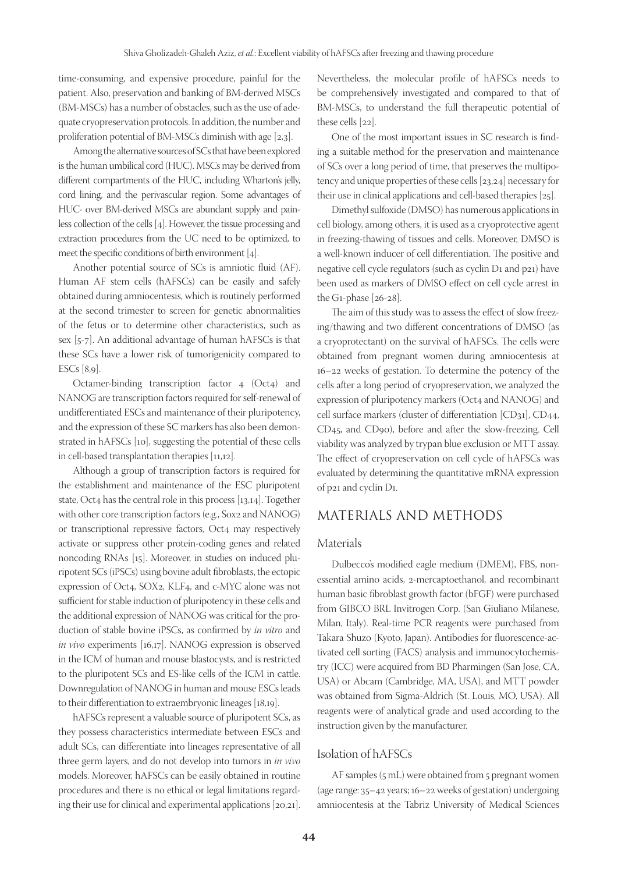time-consuming, and expensive procedure, painful for the patient. Also, preservation and banking of BM-derived MSCs (BM-MSCs) has a number of obstacles, such as the use of adequate cryopreservation protocols. In addition, the number and proliferation potential of BM-MSCs diminish with age [2,3].

Among the alternative sources of SCs that have been explored is the human umbilical cord (HUC). MSCs may be derived from different compartments of the HUC, including Wharton's jelly, cord lining, and the perivascular region. Some advantages of HUC- over BM-derived MSCs are abundant supply and painless collection of the cells [4]. However, the tissue processing and extraction procedures from the UC need to be optimized, to meet the specific conditions of birth environment [4].

Another potential source of SCs is amniotic fluid (AF). Human AF stem cells (hAFSCs) can be easily and safely obtained during amniocentesis, which is routinely performed at the second trimester to screen for genetic abnormalities of the fetus or to determine other characteristics, such as sex [5-7]. An additional advantage of human hAFSCs is that these SCs have a lower risk of tumorigenicity compared to ESCs [8,9].

Octamer-binding transcription factor 4 (Oct4) and NANOG are transcription factors required for self-renewal of undifferentiated ESCs and maintenance of their pluripotency, and the expression of these SC markers has also been demonstrated in hAFSCs [10], suggesting the potential of these cells in cell-based transplantation therapies [11,12].

Although a group of transcription factors is required for the establishment and maintenance of the ESC pluripotent state, Oct4 has the central role in this process [13,14]. Together with other core transcription factors (e.g., Sox2 and NANOG) or transcriptional repressive factors, Oct4 may respectively activate or suppress other protein-coding genes and related noncoding RNAs [15]. Moreover, in studies on induced pluripotent SCs (iPSCs) using bovine adult fibroblasts, the ectopic expression of Oct4, SOX2, KLF4, and c-MYC alone was not sufficient for stable induction of pluripotency in these cells and the additional expression of NANOG was critical for the production of stable bovine iPSCs, as confirmed by *in vitro* and *in vivo* experiments [16,17]. NANOG expression is observed in the ICM of human and mouse blastocysts, and is restricted to the pluripotent SCs and ES-like cells of the ICM in cattle. Downregulation of NANOG in human and mouse ESCs leads to their differentiation to extraembryonic lineages [18,19].

hAFSCs represent a valuable source of pluripotent SCs, as they possess characteristics intermediate between ESCs and adult SCs, can differentiate into lineages representative of all three germ layers, and do not develop into tumors in *in vivo* models. Moreover, hAFSCs can be easily obtained in routine procedures and there is no ethical or legal limitations regarding their use for clinical and experimental applications [20,21].

Nevertheless, the molecular profile of hAFSCs needs to be comprehensively investigated and compared to that of BM-MSCs, to understand the full therapeutic potential of these cells [22].

One of the most important issues in SC research is finding a suitable method for the preservation and maintenance of SCs over a long period of time, that preserves the multipotency and unique properties of these cells [23,24] necessary for their use in clinical applications and cell-based therapies [25].

Dimethyl sulfoxide (DMSO) has numerous applications in cell biology, among others, it is used as a cryoprotective agent in freezing-thawing of tissues and cells. Moreover, DMSO is a well-known inducer of cell differentiation. The positive and negative cell cycle regulators (such as cyclin D1 and p21) have been used as markers of DMSO effect on cell cycle arrest in the G1-phase [26-28].

The aim of this study was to assess the effect of slow freezing/thawing and two different concentrations of DMSO (as a cryoprotectant) on the survival of hAFSCs. The cells were obtained from pregnant women during amniocentesis at 16–22 weeks of gestation. To determine the potency of the cells after a long period of cryopreservation, we analyzed the expression of pluripotency markers (Oct4 and NANOG) and cell surface markers (cluster of differentiation [CD31], CD44, CD45, and CD90), before and after the slow-freezing. Cell viability was analyzed by trypan blue exclusion or MTT assay. The effect of cryopreservation on cell cycle of hAFSCs was evaluated by determining the quantitative mRNA expression of p21 and cyclin D1.

## MATERIALS AND METHODS

#### Materials

Dulbecco's modified eagle medium (DMEM), FBS, nonessential amino acids, 2-mercaptoethanol, and recombinant human basic fibroblast growth factor (bFGF) were purchased from GIBCO BRL Invitrogen Corp. (San Giuliano Milanese, Milan, Italy). Real-time PCR reagents were purchased from Takara Shuzo (Kyoto, Japan). Antibodies for fluorescence-activated cell sorting (FACS) analysis and immunocytochemistry (ICC) were acquired from BD Pharmingen (San Jose, CA, USA) or Abcam (Cambridge, MA, USA), and MTT powder was obtained from Sigma-Aldrich (St. Louis, MO, USA). All reagents were of analytical grade and used according to the instruction given by the manufacturer.

### Isolation of hAFSCs

AF samples (5 mL) were obtained from 5 pregnant women (age range: 35–42 years; 16–22 weeks of gestation) undergoing amniocentesis at the Tabriz University of Medical Sciences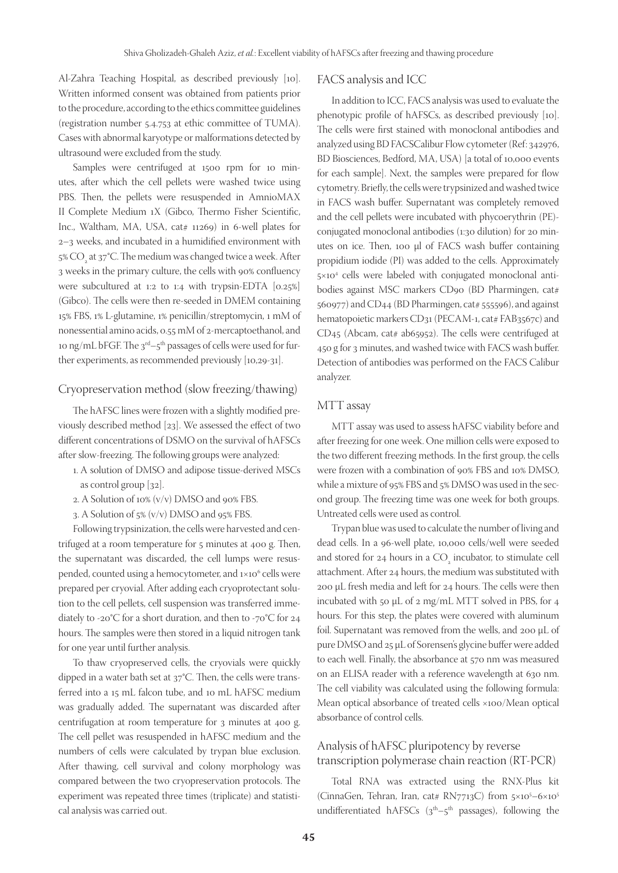Al-Zahra Teaching Hospital, as described previously [10]. Written informed consent was obtained from patients prior to the procedure, according to the ethics committee guidelines (registration number 5.4.753 at ethic committee of TUMA). Cases with abnormal karyotype or malformations detected by ultrasound were excluded from the study.

Samples were centrifuged at 1500 rpm for 10 minutes, after which the cell pellets were washed twice using PBS. Then, the pellets were resuspended in AmnioMAX II Complete Medium 1X (Gibco, Thermo Fisher Scientific, Inc., Waltham, MA, USA, cat# 11269) in 6-well plates for 2–3 weeks, and incubated in a humidified environment with 5%  $\text{CO}_\text{2}$  at 37°C. The medium was changed twice a week. After 3 weeks in the primary culture, the cells with 90% confluency were subcultured at 1:2 to 1:4 with trypsin-EDTA [0.25%] (Gibco). The cells were then re-seeded in DMEM containing 15% FBS, 1% L-glutamine, 1% penicillin/streptomycin, 1 mM of nonessential amino acids, 0.55 mM of 2-mercaptoethanol, and 10 ng/mL bFGF. The  $3<sup>rd</sup> - 5<sup>th</sup>$  passages of cells were used for further experiments, as recommended previously [10,29-31].

#### Cryopreservation method (slow freezing/thawing)

The hAFSC lines were frozen with a slightly modified previously described method [23]. We assessed the effect of two different concentrations of DSMO on the survival of hAFSCs after slow-freezing. The following groups were analyzed:

- 1. A solution of DMSO and adipose tissue-derived MSCs as control group [32].
- 2. A Solution of 10% (v/v) DMSO and 90% FBS.
- 3. A Solution of 5% (v/v) DMSO and 95% FBS.

Following trypsinization, the cells were harvested and centrifuged at a room temperature for 5 minutes at 400 g. Then, the supernatant was discarded, the cell lumps were resuspended, counted using a hemocytometer, and 1×10<sup>6</sup> cells were prepared per cryovial. After adding each cryoprotectant solution to the cell pellets, cell suspension was transferred immediately to -20°C for a short duration, and then to -70°C for 24 hours. The samples were then stored in a liquid nitrogen tank for one year until further analysis.

To thaw cryopreserved cells, the cryovials were quickly dipped in a water bath set at 37°C. Then, the cells were transferred into a 15 mL falcon tube, and 10 mL hAFSC medium was gradually added. The supernatant was discarded after centrifugation at room temperature for 3 minutes at 400 g. The cell pellet was resuspended in hAFSC medium and the numbers of cells were calculated by trypan blue exclusion. After thawing, cell survival and colony morphology was compared between the two cryopreservation protocols. The experiment was repeated three times (triplicate) and statistical analysis was carried out.

#### FACS analysis and ICC

In addition to ICC, FACS analysis was used to evaluate the phenotypic profile of hAFSCs, as described previously [10]. The cells were first stained with monoclonal antibodies and analyzed using BD FACSCalibur Flow cytometer (Ref: 342976, BD Biosciences, Bedford, MA, USA) [a total of 10,000 events for each sample]. Next, the samples were prepared for flow cytometry. Briefly, the cells were trypsinized and washed twice in FACS wash buffer. Supernatant was completely removed and the cell pellets were incubated with phycoerythrin (PE) conjugated monoclonal antibodies (1:30 dilution) for 20 minutes on ice. Then, 100 μl of FACS wash buffer containing propidium iodide (PI) was added to the cells. Approximately 5×104 cells were labeled with conjugated monoclonal antibodies against MSC markers CD90 (BD Pharmingen, cat# 560977) and CD44 (BD Pharmingen, cat# 555596), and against hematopoietic markers CD31 (PECAM-1, cat# FAB3567c) and CD45 (Abcam, cat# ab65952). The cells were centrifuged at 450 g for 3 minutes, and washed twice with FACS wash buffer. Detection of antibodies was performed on the FACS Calibur analyzer.

#### MTT assay

MTT assay was used to assess hAFSC viability before and after freezing for one week. One million cells were exposed to the two different freezing methods. In the first group, the cells were frozen with a combination of 90% FBS and 10% DMSO, while a mixture of 95% FBS and 5% DMSO was used in the second group. The freezing time was one week for both groups. Untreated cells were used as control.

Trypan blue was used to calculate the number of living and dead cells. In a 96-well plate, 10,000 cells/well were seeded and stored for 24 hours in a  $CO_2$  incubator, to stimulate cell attachment. After 24 hours, the medium was substituted with 200 µL fresh media and left for 24 hours. The cells were then incubated with 50 µL of 2 mg/mL MTT solved in PBS, for 4 hours. For this step, the plates were covered with aluminum foil. Supernatant was removed from the wells, and 200 µL of pure DMSO and 25 µL of Sorensen's glycine buffer were added to each well. Finally, the absorbance at 570 nm was measured on an ELISA reader with a reference wavelength at 630 nm. The cell viability was calculated using the following formula: Mean optical absorbance of treated cells ×100/Mean optical absorbance of control cells.

## Analysis of hAFSC pluripotency by reverse transcription polymerase chain reaction (RT-PCR)

Total RNA was extracted using the RNX-Plus kit (CinnaGen, Tehran, Iran, cat#  $RN_{7713}C$ ) from  $5\times10^{5}-6\times10^{5}$ undifferentiated hAFSCs  $(3<sup>th</sup>-5<sup>th</sup>$  passages), following the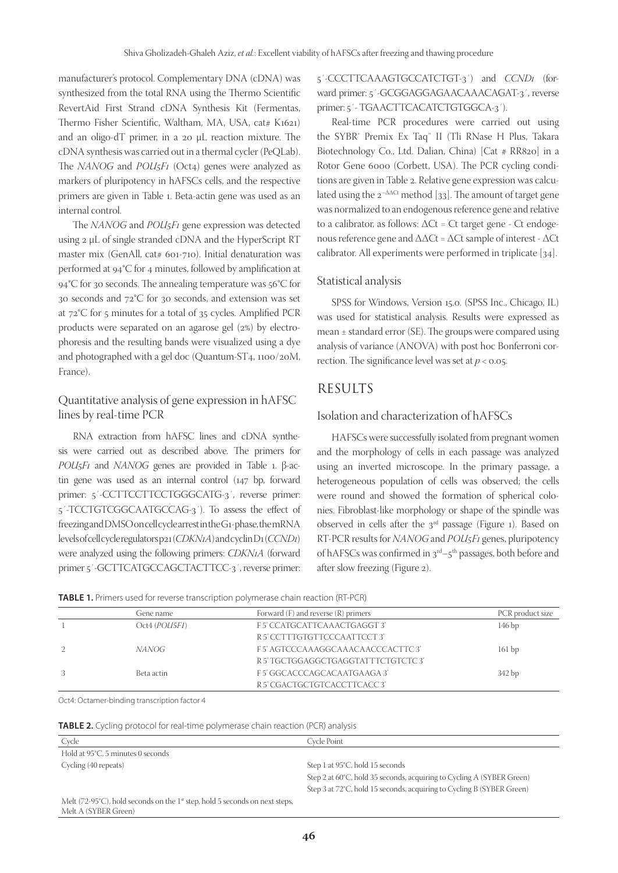manufacturer's protocol. Complementary DNA (cDNA) was synthesized from the total RNA using the Thermo Scientific RevertAid First Strand cDNA Synthesis Kit (Fermentas, Thermo Fisher Scientific, Waltham, MA, USA, cat# K1621) and an oligo-dT primer, in a 20 µL reaction mixture. The cDNA synthesis was carried out in a thermal cycler (PeQLab). The *NANOG* and *POU<sub>5</sub>F<sub>1</sub>* (Oct<sub>4</sub>) genes were analyzed as markers of pluripotency in hAFSCs cells, and the respective primers are given in Table 1. Beta-actin gene was used as an internal control.

The *NANOG* and *POU5F1* gene expression was detected using 2 µL of single stranded cDNA and the HyperScript RT master mix (GenAll, cat# 601-710). Initial denaturation was performed at 94°C for 4 minutes, followed by amplification at 94°C for 30 seconds. The annealing temperature was 56°C for 30 seconds and 72°C for 30 seconds, and extension was set at 72°C for 5 minutes for a total of 35 cycles. Amplified PCR products were separated on an agarose gel (2%) by electrophoresis and the resulting bands were visualized using a dye and photographed with a gel doc (Quantum-ST4, 1100/20M, France).

## Quantitative analysis of gene expression in hAFSC lines by real-time PCR

RNA extraction from hAFSC lines and cDNA synthesis were carried out as described above. The primers for *POU5F1* and *NANOG* genes are provided in Table 1. β-actin gene was used as an internal control (147 bp, forward primer: 5'-CCTTCCTTCCTGGGCATG-3', reverse primer: 5´-TCCTGTCGGCAATGCCAG-3´). To assess the effect of freezing and DMSO on cell cycle arrest in the G1-phase, the mRNA levels of cell cycle regulators p21 (*CDKN1A*) and cyclin D1 (*CCND1*) were analyzed using the following primers: *CDKN1A* (forward primer 5´-GCTTCATGCCAGCTACTTCC-3´, reverse primer:

5´-CCCTTCAAAGTGCCATCTGT-3´) and *CCND1* (forward primer: 5´-GCGGAGGAGAACAAACAGAT-3´, reverse primer: 5´- TGAACTTCACATCTGTGGCA-3´).

Real-time PCR procedures were carried out using the SYBR® Premix Ex Taq™ II (Tli RNase H Plus, Takara Biotechnology Co., Ltd. Dalian, China) [Cat # RR820] in a Rotor Gene 6000 (Corbett, USA). The PCR cycling conditions are given in Table 2. Relative gene expression was calculated using the  $2^{-\Delta\Delta Ct}$  method [33]. The amount of target gene was normalized to an endogenous reference gene and relative to a calibrator, as follows:  $\Delta$ Ct = Ct target gene - Ct endogenous reference gene and ΔΔCt = ΔCt sample of interest - ΔCt calibrator. All experiments were performed in triplicate [34].

#### Statistical analysis

SPSS for Windows, Version 15.0. (SPSS Inc., Chicago, IL) was used for statistical analysis. Results were expressed as mean  $\pm$  standard error (SE). The groups were compared using analysis of variance (ANOVA) with post hoc Bonferroni correction. The significance level was set at  $p < 0.05$ .

## RESULTS

### Isolation and characterization of hAFSCs

HAFSCs were successfully isolated from pregnant women and the morphology of cells in each passage was analyzed using an inverted microscope. In the primary passage, a heterogeneous population of cells was observed; the cells were round and showed the formation of spherical colonies. Fibroblast-like morphology or shape of the spindle was observed in cells after the  $3<sup>rd</sup>$  passage (Figure 1). Based on RT-PCR results for *NANOG* and *POU5F1* genes, pluripotency of hAFSCs was confirmed in  $3<sup>rd</sup> - 5<sup>th</sup>$  passages, both before and after slow freezing (Figure 2).

|  | Gene name     | Forward $(F)$ and reverse $(R)$ primers | PCR product size  |
|--|---------------|-----------------------------------------|-------------------|
|  | Oct4 (POU5F1) | F 5' CCATGCATTCAAACTGAGGT 3'            | 146 <sub>bp</sub> |
|  |               | R 5' CCTTTGTGTTCCCAATTCCT 3'            |                   |
|  | NANOG         | F5' AGTCCCAAAGGCAAACAACCCACTTC3'        | 161bp             |
|  |               | R 5' TGCTGGAGGCTGAGGTATTTCTGTCTC 3'     |                   |
|  | Beta actin    | F 5' GGCACCCAGCACAATGAAGA 3'            | 342 bp            |
|  |               | R 5' CGACTGCTGTCACCTTCACC 3'            |                   |

Oct4: Octamer-binding transcription factor 4

**TABLE 2.** Cycling protocol for real-time polymerase chain reaction (PCR) analysis

| <b>IN LOCAL CARDING PROCESS TO TEGRAL TRACE POTATIONSE CHART TEACHER TO A RAY SIS</b> |                                                                       |  |  |
|---------------------------------------------------------------------------------------|-----------------------------------------------------------------------|--|--|
| Cycle                                                                                 | Cvcle Point                                                           |  |  |
| Hold at 95°C, 5 minutes 0 seconds                                                     |                                                                       |  |  |
| Cycling (40 repeats)                                                                  | Step 1 at 95°C, hold 15 seconds                                       |  |  |
|                                                                                       | Step 2 at 60°C, hold 35 seconds, acquiring to Cycling A (SYBER Green) |  |  |
|                                                                                       | Step 3 at 72°C, hold 15 seconds, acquiring to Cycling B (SYBER Green) |  |  |
| Melt $(72-95^{\circ}C)$ , hold seconds on the 1st step, hold 5 seconds on next steps. |                                                                       |  |  |

Melt (72-95°C), hold seconds on the 1<sup>st</sup> step, hold 5 seconds on next steps, Melt A (SYBER Green)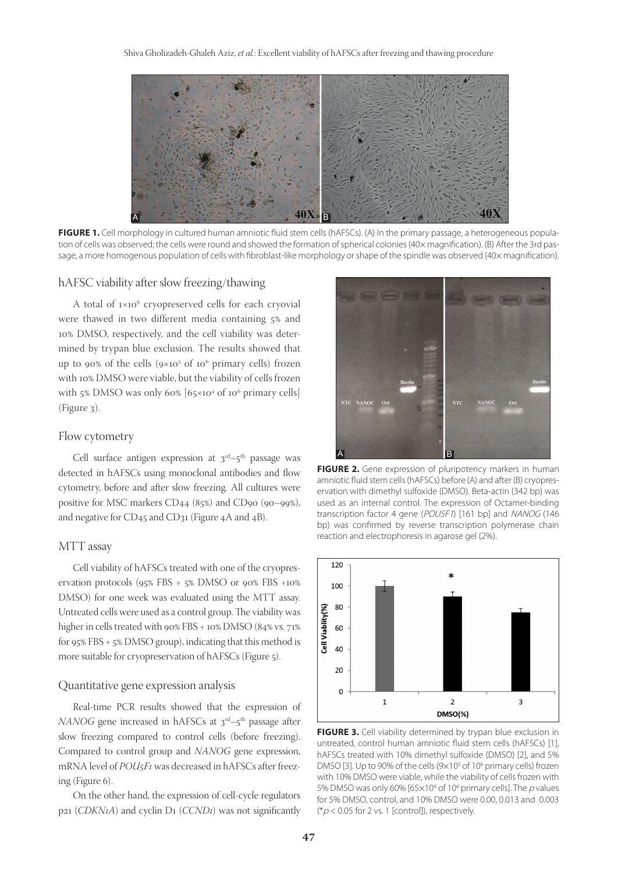

FIGURE 1. Cell morphology in cultured human amniotic fluid stem cells (hAFSCs). (A) In the primary passage, a heterogeneous population of cells was observed; the cells were round and showed the formation of spherical colonies (40× magnification). (B) After the 3rd passage, a more homogenous population of cells with fibroblast-like morphology or shape of the spindle was observed (40× magnification).

#### hAFSC viability after slow freezing/thawing

A total of 1×106 cryopreserved cells for each cryovial were thawed in two different media containing 5% and 10% DMSO, respectively, and the cell viability was determined by trypan blue exclusion. The results showed that up to 90% of the cells  $(9\times10^{5} \text{ of } 10^{6} \text{ primary cells})$  frozen with 10% DMSO were viable, but the viability of cells frozen with 5% DMSO was only 60%  $[65 \times 10^4 \text{ of } 10^6 \text{ primary cells}]$ (Figure 3).

#### Flow cytometry

Cell surface antigen expression at  $3<sup>rd</sup>-5<sup>th</sup>$  passage was detected in hAFSCs using monoclonal antibodies and flow cytometry, before and after slow freezing. All cultures were positive for MSC markers CD44 (85%) and CD90 (90–99%), and negative for CD45 and CD31 (Figure 4A and 4B).

#### MTT assay

Cell viability of hAFSCs treated with one of the cryopreservation protocols (95% FBS + 5% DMSO or 90% FBS +10% DMSO) for one week was evaluated using the MTT assay. Untreated cells were used as a control group. The viability was higher in cells treated with 90% FBS + 10% DMSO (84% vs. 71% for 95% FBS + 5% DMSO group), indicating that this method is more suitable for cryopreservation of hAFSCs (Figure 5).

#### Quantitative gene expression analysis

Real-time PCR results showed that the expression of *NANOG* gene increased in hAFSCs at 3<sup>rd</sup>-5<sup>th</sup> passage after slow freezing compared to control cells (before freezing). Compared to control group and *NANOG* gene expression, mRNA level of *POU5F1* was decreased in hAFSCs after freezing (Figure 6).

On the other hand, the expression of cell-cycle regulators p21 (*CDKN1A*) and cyclin D1 (*CCND1*) was not significantly



**FIGURE 2.** Gene expression of pluripotency markers in human amniotic fluid stem cells (hAFSCs) before (A) and after (B) cryopreservation with dimethyl sulfoxide (DMSO). Beta-actin (342 bp) was used as an internal control. The expression of Octamer-binding transcription factor 4 gene (POU5F1) [161 bp] and NANOG (146 bp) was confirmed by reverse transcription polymerase chain reaction and electrophoresis in agarose gel (2%).



**FIGURE 3.** Cell viability determined by trypan blue exclusion in untreated, control human amniotic fluid stem cells (hAFSCs) [1], hAFSCs treated with 10% dimethyl sulfoxide (DMSO) [2], and 5% DMSO [3]. Up to 90% of the cells ( $9 \times 10^5$  of 10<sup>6</sup> primary cells) frozen with 10% DMSO were viable, while the viability of cells frozen with 5% DMSO was only 60% [65 $\times$ 10<sup>4</sup> of 10<sup>6</sup> primary cells]. The p values for 5% DMSO, control, and 10% DMSO were 0.00, 0.013 and 0.003 ( $*p$  < 0.05 for 2 vs. 1 [control]), respectively.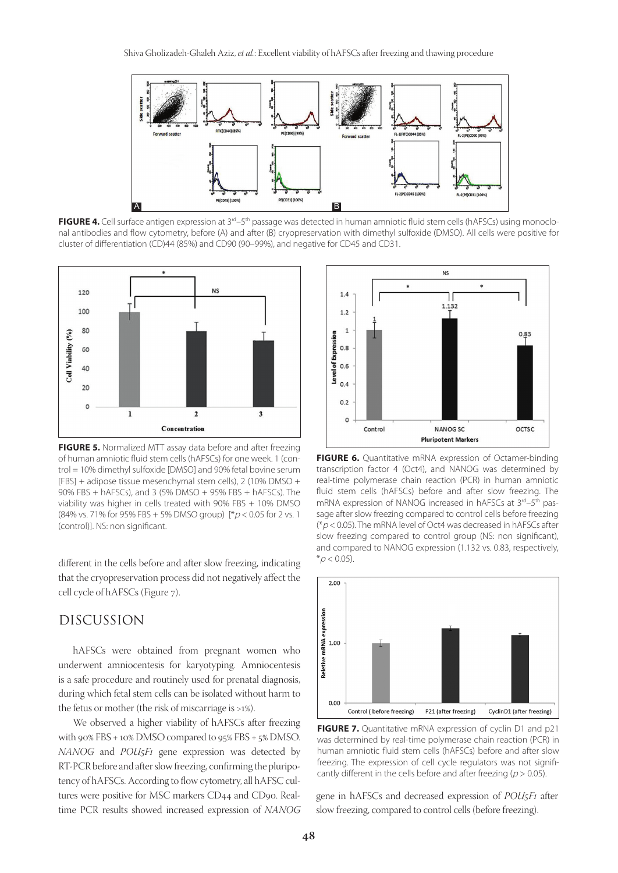

**FIGURE 4.** Cell surface antigen expression at 3<sup>rd</sup>–5<sup>th</sup> passage was detected in human amniotic fluid stem cells (hAFSCs) using monoclonal antibodies and flow cytometry, before (A) and after (B) cryopreservation with dimethyl sulfoxide (DMSO). All cells were positive for cluster of differentiation (CD)44 (85%) and CD90 (90–99%), and negative for CD45 and CD31.



**FIGURE 5.** Normalized MTT assay data before and after freezing of human amniotic fluid stem cells (hAFSCs) for one week. 1 (control = 10% dimethyl sulfoxide [DMSO] and 90% fetal bovine serum [FBS] + adipose tissue mesenchymal stem cells), 2 (10% DMSO + 90% FBS + hAFSCs), and 3 (5% DMSO + 95% FBS + hAFSCs). The viability was higher in cells treated with 90% FBS + 10% DMSO (84% vs. 71% for 95% FBS + 5% DMSO group)  $[^*p < 0.05$  for 2 vs. 1 (control)]. NS: non significant.

different in the cells before and after slow freezing, indicating that the cryopreservation process did not negatively affect the cell cycle of hAFSCs (Figure 7).

## DISCUSSION

hAFSCs were obtained from pregnant women who underwent amniocentesis for karyotyping. Amniocentesis is a safe procedure and routinely used for prenatal diagnosis, during which fetal stem cells can be isolated without harm to the fetus or mother (the risk of miscarriage is >1%).

We observed a higher viability of hAFSCs after freezing with 90% FBS + 10% DMSO compared to 95% FBS + 5% DMSO. *NANOG* and *POU5F1* gene expression was detected by RT-PCR before and after slow freezing, confirming the pluripotency of hAFSCs. According to flow cytometry, all hAFSC cultures were positive for MSC markers CD44 and CD90. Realtime PCR results showed increased expression of *NANOG*



**FIGURE 6.** Quantitative mRNA expression of Octamer-binding transcription factor 4 (Oct4), and NANOG was determined by real-time polymerase chain reaction (PCR) in human amniotic fluid stem cells (hAFSCs) before and after slow freezing. The mRNA expression of NANOG increased in hAFSCs at 3<sup>rd</sup>-5<sup>th</sup> passage after slow freezing compared to control cells before freezing ( $p$  < 0.05). The mRNA level of Oct4 was decreased in hAFSCs after slow freezing compared to control group (NS: non significant), and compared to NANOG expression (1.132 vs. 0.83, respectively,  $*_{p}$  < 0.05).



**FIGURE 7.** Quantitative mRNA expression of cyclin D1 and p21 was determined by real-time polymerase chain reaction (PCR) in human amniotic fluid stem cells (hAFSCs) before and after slow freezing. The expression of cell cycle regulators was not significantly different in the cells before and after freezing ( $p > 0.05$ ).

gene in hAFSCs and decreased expression of *POU5F1* after slow freezing, compared to control cells (before freezing).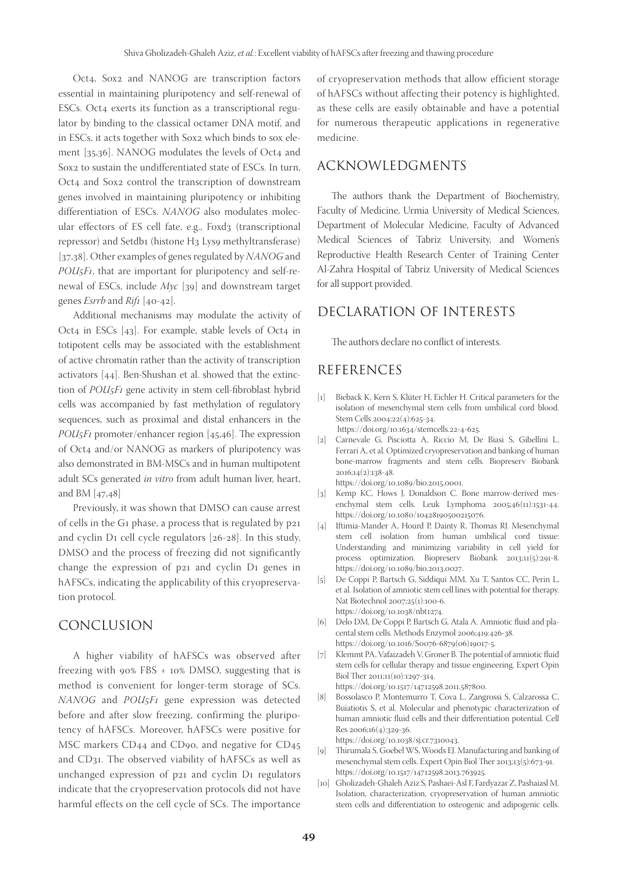Oct4, Sox2 and NANOG are transcription factors essential in maintaining pluripotency and self-renewal of ESCs. Oct4 exerts its function as a transcriptional regulator by binding to the classical octamer DNA motif, and in ESCs, it acts together with Sox2 which binds to sox element [35,36]. NANOG modulates the levels of Oct4 and Sox2 to sustain the undifferentiated state of ESCs. In turn, Oct4 and Sox2 control the transcription of downstream genes involved in maintaining pluripotency or inhibiting differentiation of ESCs. *NANOG* also modulates molecular effectors of ES cell fate, e.g., Foxd3 (transcriptional repressor) and Setdb1 (histone H3 Lys9 methyltransferase) [37,38]. Other examples of genes regulated by *NANOG* and *POU5F1*, that are important for pluripotency and self-renewal of ESCs, include *Myc* [39] and downstream target genes *Esrrb* and *Rif1* [40-42].

Additional mechanisms may modulate the activity of Oct4 in ESCs  $[43]$ . For example, stable levels of Oct4 in totipotent cells may be associated with the establishment of active chromatin rather than the activity of transcription activators [44]. Ben-Shushan et al. showed that the extinction of *POU5F1* gene activity in stem cell-fibroblast hybrid cells was accompanied by fast methylation of regulatory sequences, such as proximal and distal enhancers in the *POU5F1* promoter/enhancer region [45,46]. The expression of Oct4 and/or NANOG as markers of pluripotency was also demonstrated in BM-MSCs and in human multipotent adult SCs generated *in vitro* from adult human liver, heart, and BM [47,48]

Previously, it was shown that DMSO can cause arrest of cells in the G1 phase, a process that is regulated by p21 and cyclin D1 cell cycle regulators [26-28]. In this study, DMSO and the process of freezing did not significantly change the expression of p21 and cyclin D1 genes in hAFSCs, indicating the applicability of this cryopreservation protocol.

## CONCLUSION

A higher viability of hAFSCs was observed after freezing with 90% FBS + 10% DMSO, suggesting that is method is convenient for longer-term storage of SCs. *NANOG* and *POU5F1* gene expression was detected before and after slow freezing, confirming the pluripotency of hAFSCs. Moreover, hAFSCs were positive for MSC markers CD44 and CD90, and negative for CD45 and CD31. The observed viability of hAFSCs as well as unchanged expression of p21 and cyclin D1 regulators indicate that the cryopreservation protocols did not have harmful effects on the cell cycle of SCs. The importance of cryopreservation methods that allow efficient storage of hAFSCs without affecting their potency is highlighted, as these cells are easily obtainable and have a potential for numerous therapeutic applications in regenerative medicine.

## ACKNOWLEDGMENTS

The authors thank the Department of Biochemistry, Faculty of Medicine, Urmia University of Medical Sciences, Department of Molecular Medicine, Faculty of Advanced Medical Sciences of Tabriz University, and Women's Reproductive Health Research Center of Training Center Al-Zahra Hospital of Tabriz University of Medical Sciences for all support provided.

## DECLARATION OF INTERESTS

The authors declare no conflict of interests.

## REFERENCES

- [1] Bieback K, Kern S, Klüter H, Eichler H. Critical parameters for the isolation of mesenchymal stem cells from umbilical cord blood. Stem Cells 2004;22(4):625-34. https://doi.org/10.1634/stemcells.22-4-625.
- [2] Carnevale G, Pisciotta A, Riccio M, De Biasi S, Gibellini L, Ferrari A, et al. Optimized cryopreservation and banking of human bone-marrow fragments and stem cells. Biopreserv Biobank 2016;14(2):138-48.

https://doi.org/10.1089/bio.2015.0001.

- [3] Kemp KC, Hows J, Donaldson C. Bone marrow-derived mesenchymal stem cells. Leuk Lymphoma 2005;46(11):1531-44. https://doi.org/10.1080/10428190500215076.
- [4] Iftimia-Mander A, Hourd P, Dainty R, Thomas RJ. Mesenchymal stem cell isolation from human umbilical cord tissue: Understanding and minimizing variability in cell yield for process optimization. Biopreserv Biobank 2013;11(5):291-8. https://doi.org/10.1089/bio.2013.0027.
- [5] De Coppi P, Bartsch G, Siddiqui MM, Xu T, Santos CC, Perin L, et al. Isolation of amniotic stem cell lines with potential for therapy. Nat Biotechnol 2007;25(1):100-6. https://doi.org/10.1038/nbt1274.
- [6] Delo DM, De Coppi P, Bartsch G, Atala A. Amniotic fluid and placental stem cells. Methods Enzymol 2006;419:426-38. https://doi.org/10.1016/S0076-6879(06)19017-5.
- [7] Klemmt PA, Vafaizadeh V, Groner B. The potential of amniotic fluid stem cells for cellular therapy and tissue engineering. Expert Opin Biol Ther 2011;11(10):1297-314. https://doi.org/10.1517/14712598.2011.587800.
- [8] Bossolasco P, Montemurro T, Cova L, Zangrossi S, Calzarossa C, Buiatiotis S, et al. Molecular and phenotypic characterization of human amniotic fluid cells and their differentiation potential. Cell Res 2006;16(4):329-36. https://doi.org/10.1038/sj.cr.7310043.
- [9] Thirumala S, Goebel WS, Woods EJ. Manufacturing and banking of mesenchymal stem cells. Expert Opin Biol Ther 2013;13(5):673-91.
- https://doi.org/10.1517/14712598.2013.763925. [10] Gholizadeh-Ghaleh Aziz S, Pashaei-Asl F, Fardyazar Z, Pashaiasl M. Isolation, characterization, cryopreservation of human amniotic stem cells and differentiation to osteogenic and adipogenic cells.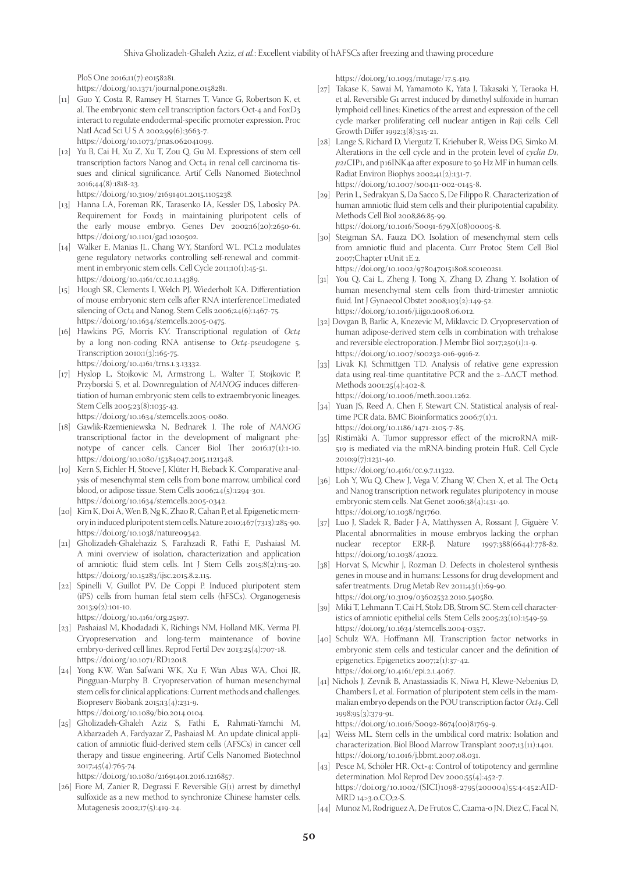PloS One 2016;11(7):e0158281.

https://doi.org/10.1371/journal.pone.0158281.

- [11] Guo Y, Costa R, Ramsey H, Starnes T, Vance G, Robertson K, et al. The embryonic stem cell transcription factors Oct-4 and FoxD3 interact to regulate endodermal-specific promoter expression. Proc Natl Acad Sci U S A 2002;99(6):3663-7. https://doi.org/10.1073/pnas.062041099.
- [12] Yu B, Cai H, Xu Z, Xu T, Zou Q, Gu M. Expressions of stem cell transcription factors Nanog and Oct4 in renal cell carcinoma tissues and clinical significance. Artif Cells Nanomed Biotechnol 2016;44(8):1818-23.

https://doi.org/10.3109/21691401.2015.1105238.

- [13] Hanna LA, Foreman RK, Tarasenko IA, Kessler DS, Labosky PA. Requirement for Foxd3 in maintaining pluripotent cells of the early mouse embryo. Genes Dev 2002;16(20):2650-61. https://doi.org/10.1101/gad.1020502.
- [14] Walker E, Manias JL, Chang WY, Stanford WL. PCL2 modulates gene regulatory networks controlling self-renewal and commitment in embryonic stem cells. Cell Cycle 2011;10(1):45-51. https://doi.org/10.4161/cc.10.1.14389.
- [15] Hough SR, Clements I, Welch PJ, Wiederholt KA. Differentiation of mouse embryonic stem cells after RNA interference $\Box$ mediated silencing of Oct4 and Nanog. Stem Cells 2006;24(6):1467-75. https://doi.org/10.1634/stemcells.2005-0475.
- [16] Hawkins PG, Morris KV. Transcriptional regulation of *Oct4* by a long non-coding RNA antisense to *Oct4*-pseudogene 5. Transcription 2010;1(3):165-75. https://doi.org/10.4161/trns.1.3.13332.
- [17] Hyslop L, Stojkovic M, Armstrong L, Walter T, Stojkovic P, Przyborski S, et al. Downregulation of *NANOG* induces differentiation of human embryonic stem cells to extraembryonic lineages. Stem Cells 2005;23(8):1035-43. https://doi.org/10.1634/stemcells.2005-0080.
- [18] Gawlik-Rzemieniewska N, Bednarek I. The role of *NANOG* transcriptional factor in the development of malignant phenotype of cancer cells. Cancer Biol Ther 2016;17(1):1-10. https://doi.org/10.1080/15384047.2015.1121348.
- [19] Kern S, Eichler H, Stoeve J, Klüter H, Bieback K. Comparative analysis of mesenchymal stem cells from bone marrow, umbilical cord blood, or adipose tissue. Stem Cells 2006;24(5):1294-301. https://doi.org/10.1634/stemcells.2005-0342.
- [20] Kim K, Doi A, Wen B, Ng K, Zhao R, Cahan P, et al. Epigenetic memory in induced pluripotent stem cells. Nature 2010;467(7313):285-90. https://doi.org/10.1038/nature09342.
- [21] Gholizadeh-Ghalehaziz S, Farahzadi R, Fathi E, Pashaiasl M. A mini overview of isolation, characterization and application of amniotic fluid stem cells. Int J Stem Cells 2015;8(2):115-20. https://doi.org/10.15283/ijsc.2015.8.2.115.
- [22] Spinelli V, Guillot PV, De Coppi P. Induced pluripotent stem (iPS) cells from human fetal stem cells (hFSCs). Organogenesis 2013;9(2):101-10. https://doi.org/10.4161/org.25197.
- [23] Pashaiasl M, Khodadadi K, Richings NM, Holland MK, Verma PJ. Cryopreservation and long-term maintenance of bovine embryo-derived cell lines. Reprod Fertil Dev 2013;25(4):707-18. https://doi.org/10.1071/RD12018.
- [24] Yong KW, Wan Safwani WK, Xu F, Wan Abas WA, Choi JR, Pingguan-Murphy B. Cryopreservation of human mesenchymal stem cells for clinical applications: Current methods and challenges. Biopreserv Biobank 2015;13(4):231-9. https://doi.org/10.1089/bio.2014.0104.

[25] Gholizadeh-Ghaleh Aziz S, Fathi E, Rahmati-Yamchi M, Akbarzadeh A, Fardyazar Z, Pashaiasl M. An update clinical application of amniotic fluid-derived stem cells (AFSCs) in cancer cell therapy and tissue engineering. Artif Cells Nanomed Biotechnol 2017;45(4):765-74.

https://doi.org/10.1080/21691401.2016.1216857.

[26] Fiore M, Zanier R, Degrassi F. Reversible G(1) arrest by dimethyl sulfoxide as a new method to synchronize Chinese hamster cells. Mutagenesis 2002;17(5):419-24.

https://doi.org/10.1093/mutage/17.5.419.

- [27] Takase K, Sawai M, Yamamoto K, Yata J, Takasaki Y, Teraoka H, et al. Reversible G1 arrest induced by dimethyl sulfoxide in human lymphoid cell lines: Kinetics of the arrest and expression of the cell cycle marker proliferating cell nuclear antigen in Raji cells. Cell Growth Differ 1992;3(8):515-21.
- [28] Lange S, Richard D, Viergutz T, Kriehuber R, Weiss DG, Simko M. Alterations in the cell cycle and in the protein level of *cyclin D1*, *p21*CIP1, and p16INK4a after exposure to 50 Hz MF in human cells. Radiat Environ Biophys 2002;41(2):131-7. https://doi.org/10.1007/s00411-002-0145-8.
- [29] Perin L, Sedrakyan S, Da Sacco S, De Filippo R. Characterization of human amniotic fluid stem cells and their pluripotential capability. Methods Cell Biol 2008;86:85-99. https://doi.org/10.1016/S0091-679X(08)00005-8.
- [30] Steigman SA, Fauza DO. Isolation of mesenchymal stem cells from amniotic fluid and placenta. Curr Protoc Stem Cell Biol 2007;Chapter 1:Unit 1E.2.

https://doi.org/10.1002/9780470151808.sc01e02s1.

- [31] You Q, Cai L, Zheng J, Tong X, Zhang D, Zhang Y. Isolation of human mesenchymal stem cells from third-trimester amniotic fluid. Int J Gynaecol Obstet 2008;103(2):149-52. https://doi.org/10.1016/j.ijgo.2008.06.012.
- [32] Dovgan B, Barlic A, Knezevic M, Miklavcic D. Cryopreservation of human adipose-derived stem cells in combination with trehalose and reversible electroporation. J Membr Biol 2017;250(1):1-9. https://doi.org/10.1007/s00232-016-9916-z.
- [33] Livak KJ, Schmittgen TD. Analysis of relative gene expression data using real-time quantitative PCR and the 2−ΔΔCT method. Methods 2001;25(4):402-8. https://doi.org/10.1006/meth.2001.1262.
- [34] Yuan JS, Reed A, Chen F, Stewart CN. Statistical analysis of realtime PCR data. BMC Bioinformatics 2006;7(1):1. https://doi.org/10.1186/1471-2105-7-85.
- [35] Ristimäki A. Tumor suppressor effect of the microRNA miR-519 is mediated via the mRNA-binding protein HuR. Cell Cycle 2010;9(7):1231-40. https://doi.org/10.4161/cc.9.7.11322.
- [36] Loh Y, Wu Q, Chew J, Vega V, Zhang W, Chen X, et al. The Oct4 and Nanog transcription network regulates pluripotency in mouse embryonic stem cells. Nat Genet 2006;38(4):431-40. https://doi.org/10.1038/ng1760.
- [37] Luo J, Sladek R, Bader J-A, Matthyssen A, Rossant J, Giguère V. Placental abnormalities in mouse embryos lacking the orphan nuclear receptor ERR-β. Nature 1997;388(6644):778-82. https://doi.org/10.1038/42022.
- [38] Horvat S, Mcwhir J, Rozman D. Defects in cholesterol synthesis genes in mouse and in humans: Lessons for drug development and safer treatments. Drug Metab Rev 2011;43(1):69-90. https://doi.org/10.3109/03602532.2010.540580.
- [39] Miki T, Lehmann T, Cai H, Stolz DB, Strom SC. Stem cell characteristics of amniotic epithelial cells. Stem Cells 2005;23(10):1549-59. https://doi.org/10.1634/stemcells.2004-0357.
- [40] Schulz WA, Hoffmann MJ. Transcription factor networks in embryonic stem cells and testicular cancer and the definition of epigenetics. Epigenetics 2007;2(1):37-42. https://doi.org/10.4161/epi.2.1.4067.
- [41] Nichols J, Zevnik B, Anastassiadis K, Niwa H, Klewe-Nebenius D, Chambers I, et al. Formation of pluripotent stem cells in the mammalian embryo depends on the POU transcription factor *Oct4*. Cell 1998;95(3):379-91.

https://doi.org/10.1016/S0092-8674(00)81769-9.

- [42] Weiss ML. Stem cells in the umbilical cord matrix: Isolation and characterization. Biol Blood Marrow Transplant 2007;13(11):1401. https://doi.org/10.1016/j.bbmt.2007.08.031.
- [43] Pesce M, Schöler HR. Oct-4: Control of totipotency and germline determination. Mol Reprod Dev 2000;55(4):452-7. https://doi.org/10.1002/(SICI)1098-2795(200004)55:4<452:AID-MRD 14>3.0.CO;2-S.
- [44] Munoz M, Rodriguez A, De Frutos C, Caama-o JN, Diez C, Facal N,